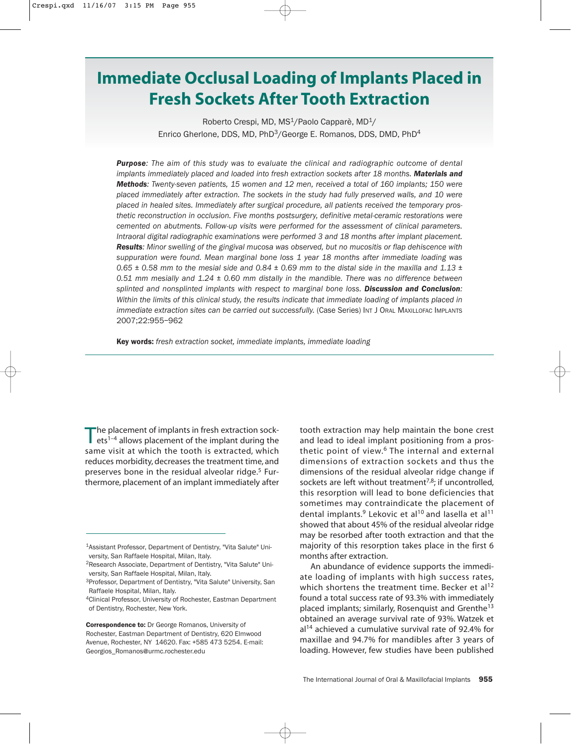# **Immediate Occlusal Loading of Implants Placed in Fresh Sockets After Tooth Extraction**

Roberto Crespi, MD, MS<sup>1</sup>/Paolo Capparè, MD<sup>1</sup>/ Enrico Gherlone, DDS, MD, PhD<sup>3</sup>/George E. Romanos, DDS, DMD, PhD<sup>4</sup>

*Purpose: The aim of this study was to evaluate the clinical and radiographic outcome of dental implants immediately placed and loaded into fresh extraction sockets after 18 months. Materials and Methods: Twenty-seven patients, 15 women and 12 men, received a total of 160 implants; 150 were placed immediately after extraction. The sockets in the study had fully preserved walls, and 10 were placed in healed sites. Immediately after surgical procedure, all patients received the temporary prosthetic reconstruction in occlusion. Five months postsurgery, definitive metal-ceramic restorations were cemented on abutments. Follow-up visits were performed for the assessment of clinical parameters. Intraoral digital radiographic examinations were performed 3 and 18 months after implant placement. Results: Minor swelling of the gingival mucosa was observed, but no mucositis or flap dehiscence with suppuration were found. Mean marginal bone loss 1 year 18 months after immediate loading was 0.65 ± 0.58 mm to the mesial side and 0.84 ± 0.69 mm to the distal side in the maxilla and 1.13 ± 0.51 mm mesially and 1.24 ± 0.60 mm distally in the mandible. There was no difference between splinted and nonsplinted implants with respect to marginal bone loss. Discussion and Conclusion: Within the limits of this clinical study, the results indicate that immediate loading of implants placed in immediate extraction sites can be carried out successfully.* (Case Series) INT J ORAL MAXILLOFAC IMPLANTS 2007;22:955–962

Key words: *fresh extraction socket, immediate implants, immediate loading* 

The placement of implants in fresh extraction sock-<br>ets<sup>1-4</sup> allows placement of the implant during the same visit at which the tooth is extracted, which reduces morbidity, decreases the treatment time, and preserves bone in the residual alveolar ridge.<sup>5</sup> Furthermore, placement of an implant immediately after

Correspondence to: Dr George Romanos, University of Rochester, Eastman Department of Dentistry, 620 Elmwood Avenue, Rochester, NY 14620. Fax: +585 473 5254. E-mail: Georgios\_Romanos@urmc.rochester.edu

tooth extraction may help maintain the bone crest and lead to ideal implant positioning from a prosthetic point of view.<sup>6</sup> The internal and external dimensions of extraction sockets and thus the dimensions of the residual alveolar ridge change if sockets are left without treatment<sup>7,8</sup>; if uncontrolled, this resorption will lead to bone deficiencies that sometimes may contraindicate the placement of dental implants.<sup>9</sup> Lekovic et al<sup>10</sup> and lasella et al<sup>11</sup> showed that about 45% of the residual alveolar ridge may be resorbed after tooth extraction and that the majority of this resorption takes place in the first 6 months after extraction.

An abundance of evidence supports the immediate loading of implants with high success rates, which shortens the treatment time. Becker et al<sup>12</sup> found a total success rate of 93.3% with immediately placed implants; similarly, Rosenquist and Grenthe13 obtained an average survival rate of 93%. Watzek et  $al<sup>14</sup>$  achieved a cumulative survival rate of 92.4% for maxillae and 94.7% for mandibles after 3 years of loading. However, few studies have been published

<sup>1</sup>Assistant Professor, Department of Dentistry, "Vita Salute" University, San Raffaele Hospital, Milan, Italy.

<sup>2</sup>Research Associate, Department of Dentistry, "Vita Salute" University, San Raffaele Hospital, Milan, Italy.

<sup>&</sup>lt;sup>3</sup>Professor, Department of Dentistry, "Vita Salute" University, San Raffaele Hospital, Milan, Italy.

<sup>&</sup>lt;sup>4</sup>Clinical Professor, University of Rochester, Eastman Department of Dentistry, Rochester, New York.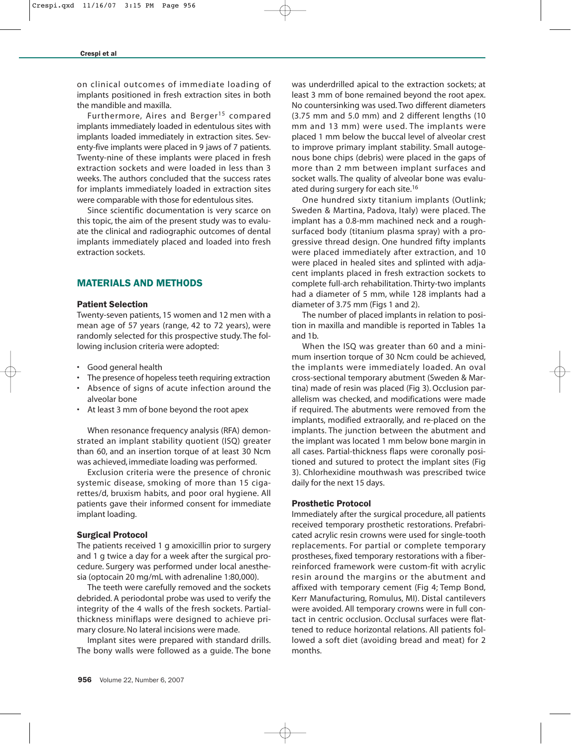on clinical outcomes of immediate loading of implants positioned in fresh extraction sites in both the mandible and maxilla.

Furthermore, Aires and Berger<sup>15</sup> compared implants immediately loaded in edentulous sites with implants loaded immediately in extraction sites. Seventy-five implants were placed in 9 jaws of 7 patients. Twenty-nine of these implants were placed in fresh extraction sockets and were loaded in less than 3 weeks. The authors concluded that the success rates for implants immediately loaded in extraction sites were comparable with those for edentulous sites.

Since scientific documentation is very scarce on this topic, the aim of the present study was to evaluate the clinical and radiographic outcomes of dental implants immediately placed and loaded into fresh extraction sockets.

# MATERIALS AND METHODS

## Patient Selection

Twenty-seven patients, 15 women and 12 men with a mean age of 57 years (range, 42 to 72 years), were randomly selected for this prospective study. The following inclusion criteria were adopted:

- Good general health
- The presence of hopeless teeth requiring extraction
- Absence of signs of acute infection around the alveolar bone
- At least 3 mm of bone beyond the root apex

When resonance frequency analysis (RFA) demonstrated an implant stability quotient (ISQ) greater than 60, and an insertion torque of at least 30 Ncm was achieved, immediate loading was performed.

Exclusion criteria were the presence of chronic systemic disease, smoking of more than 15 cigarettes/d, bruxism habits, and poor oral hygiene. All patients gave their informed consent for immediate implant loading.

#### Surgical Protocol

The patients received 1 g amoxicillin prior to surgery and 1 g twice a day for a week after the surgical procedure. Surgery was performed under local anesthesia (optocain 20 mg/mL with adrenaline 1:80,000).

The teeth were carefully removed and the sockets debrided. A periodontal probe was used to verify the integrity of the 4 walls of the fresh sockets. Partialthickness miniflaps were designed to achieve primary closure. No lateral incisions were made.

Implant sites were prepared with standard drills. The bony walls were followed as a guide. The bone was underdrilled apical to the extraction sockets; at least 3 mm of bone remained beyond the root apex. No countersinking was used. Two different diameters (3.75 mm and 5.0 mm) and 2 different lengths (10 mm and 13 mm) were used. The implants were placed 1 mm below the buccal level of alveolar crest to improve primary implant stability. Small autogenous bone chips (debris) were placed in the gaps of more than 2 mm between implant surfaces and socket walls. The quality of alveolar bone was evaluated during surgery for each site.<sup>16</sup>

One hundred sixty titanium implants (Outlink; Sweden & Martina, Padova, Italy) were placed. The implant has a 0.8-mm machined neck and a roughsurfaced body (titanium plasma spray) with a progressive thread design. One hundred fifty implants were placed immediately after extraction, and 10 were placed in healed sites and splinted with adjacent implants placed in fresh extraction sockets to complete full-arch rehabilitation. Thirty-two implants had a diameter of 5 mm, while 128 implants had a diameter of 3.75 mm (Figs 1 and 2).

The number of placed implants in relation to position in maxilla and mandible is reported in Tables 1a and 1b.

When the ISQ was greater than 60 and a minimum insertion torque of 30 Ncm could be achieved, the implants were immediately loaded. An oval cross-sectional temporary abutment (Sweden & Martina) made of resin was placed (Fig 3). Occlusion parallelism was checked, and modifications were made if required. The abutments were removed from the implants, modified extraorally, and re-placed on the implants. The junction between the abutment and the implant was located 1 mm below bone margin in all cases. Partial-thickness flaps were coronally positioned and sutured to protect the implant sites (Fig 3). Chlorhexidine mouthwash was prescribed twice daily for the next 15 days.

#### Prosthetic Protocol

Immediately after the surgical procedure, all patients received temporary prosthetic restorations. Prefabricated acrylic resin crowns were used for single-tooth replacements. For partial or complete temporary prostheses, fixed temporary restorations with a fiberreinforced framework were custom-fit with acrylic resin around the margins or the abutment and affixed with temporary cement (Fig 4; Temp Bond, Kerr Manufacturing, Romulus, MI). Distal cantilevers were avoided. All temporary crowns were in full contact in centric occlusion. Occlusal surfaces were flattened to reduce horizontal relations. All patients followed a soft diet (avoiding bread and meat) for 2 months.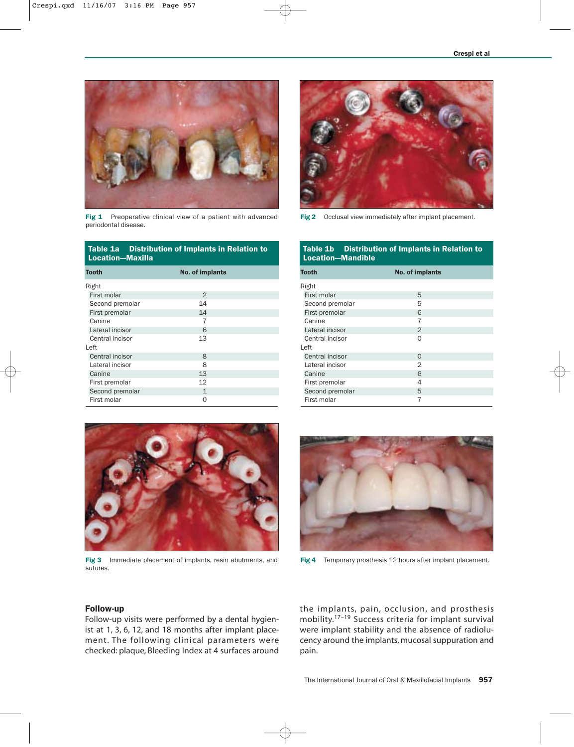

Fig 1 Preoperative clinical view of a patient with advanced periodontal disease.

| Table 1a Distribution of Implants in Relation to<br>Location-Maxilla |                 |  |  |
|----------------------------------------------------------------------|-----------------|--|--|
| Tooth                                                                | No. of implants |  |  |
| Right                                                                |                 |  |  |
| First molar                                                          | $\overline{2}$  |  |  |
| Second premolar                                                      | 14              |  |  |
| First premolar                                                       | 14              |  |  |
| Canine                                                               | 7               |  |  |
| Lateral incisor                                                      | 6               |  |  |
| Central incisor                                                      | 13              |  |  |
| l eft                                                                |                 |  |  |
| Central incisor                                                      | 8               |  |  |
| Lateral incisor                                                      | 8               |  |  |
| Canine                                                               | 13              |  |  |
| First premolar                                                       | 12              |  |  |
| Second premolar                                                      | 1               |  |  |
| First molar                                                          | $\Omega$        |  |  |



Fig 2 Occlusal view immediately after implant placement.

## Table 1b Distribution of Implants in Relation to Location—Mandible

| <b>Tooth</b>    | No. of implants |  |
|-----------------|-----------------|--|
| Right           |                 |  |
| First molar     | 5               |  |
| Second premolar | 5               |  |
| First premolar  | 6               |  |
| Canine          | 7               |  |
| Lateral incisor | $\mathcal{P}$   |  |
| Central incisor | $\Omega$        |  |
| Left            |                 |  |
| Central incisor | $\Omega$        |  |
| Lateral incisor | $\mathbf{2}$    |  |
| Canine          | 6               |  |
| First premolar  | 4               |  |
| Second premolar | 5               |  |
| First molar     | 7               |  |



Fig 3 Immediate placement of implants, resin abutments, and sutures.



Fig 4 Temporary prosthesis 12 hours after implant placement.

## Follow-up

Follow-up visits were performed by a dental hygienist at 1, 3, 6, 12, and 18 months after implant placement. The following clinical parameters were checked: plaque, Bleeding Index at 4 surfaces around the implants, pain, occlusion, and prosthesis mobility.17–19 Success criteria for implant survival were implant stability and the absence of radiolucency around the implants, mucosal suppuration and pain.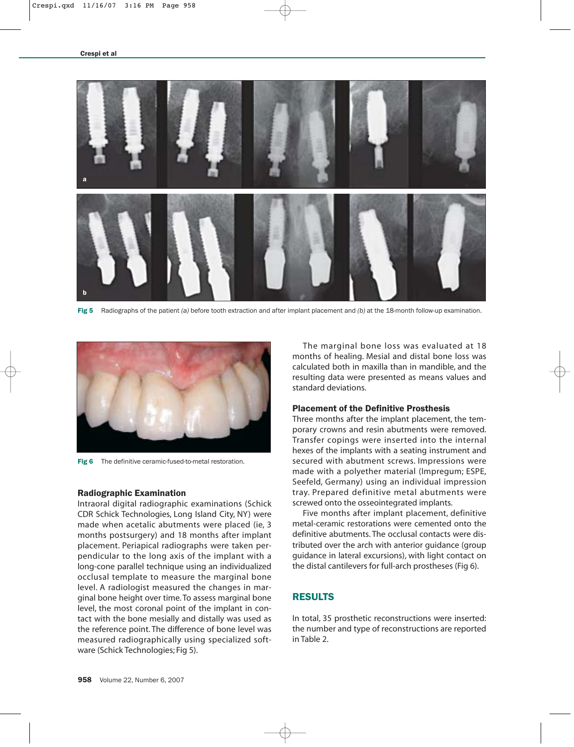

Fig 5 Radiographs of the patient *(a)* before tooth extraction and after implant placement and *(b)* at the 18-month follow-up examination.



Fig 6 The definitive ceramic-fused-to-metal restoration.

## Radiographic Examination

Intraoral digital radiographic examinations (Schick CDR Schick Technologies, Long Island City, NY) were made when acetalic abutments were placed (ie, 3 months postsurgery) and 18 months after implant placement. Periapical radiographs were taken perpendicular to the long axis of the implant with a long-cone parallel technique using an individualized occlusal template to measure the marginal bone level. A radiologist measured the changes in marginal bone height over time. To assess marginal bone level, the most coronal point of the implant in contact with the bone mesially and distally was used as the reference point. The difference of bone level was measured radiographically using specialized software (Schick Technologies; Fig 5).

The marginal bone loss was evaluated at 18 months of healing. Mesial and distal bone loss was calculated both in maxilla than in mandible, and the resulting data were presented as means values and standard deviations.

# Placement of the Definitive Prosthesis

Three months after the implant placement, the temporary crowns and resin abutments were removed. Transfer copings were inserted into the internal hexes of the implants with a seating instrument and secured with abutment screws. Impressions were made with a polyether material (Impregum; ESPE, Seefeld, Germany) using an individual impression tray. Prepared definitive metal abutments were screwed onto the osseointegrated implants.

Five months after implant placement, definitive metal-ceramic restorations were cemented onto the definitive abutments. The occlusal contacts were distributed over the arch with anterior guidance (group guidance in lateral excursions), with light contact on the distal cantilevers for full-arch prostheses (Fig 6).

# RESULTS

In total, 35 prosthetic reconstructions were inserted: the number and type of reconstructions are reported in Table 2.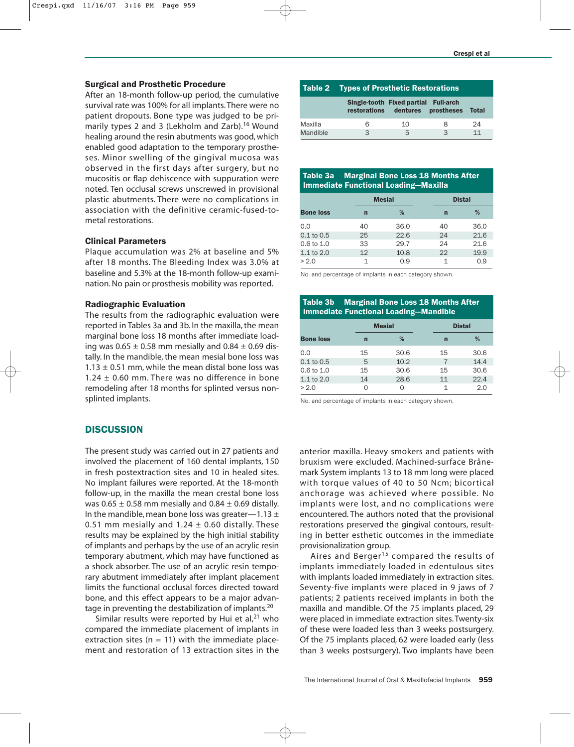# Surgical and Prosthetic Procedure

After an 18-month follow-up period, the cumulative survival rate was 100% for all implants. There were no patient dropouts. Bone type was judged to be primarily types 2 and 3 (Lekholm and Zarb).<sup>16</sup> Wound healing around the resin abutments was good, which enabled good adaptation to the temporary prostheses. Minor swelling of the gingival mucosa was observed in the first days after surgery, but no mucositis or flap dehiscence with suppuration were noted. Ten occlusal screws unscrewed in provisional plastic abutments. There were no complications in association with the definitive ceramic-fused-tometal restorations.

# Clinical Parameters

Plaque accumulation was 2% at baseline and 5% after 18 months. The Bleeding Index was 3.0% at baseline and 5.3% at the 18-month follow-up examination. No pain or prosthesis mobility was reported.

## Radiographic Evaluation

The results from the radiographic evaluation were reported in Tables 3a and 3b. In the maxilla, the mean marginal bone loss 18 months after immediate loading was  $0.65 \pm 0.58$  mm mesially and  $0.84 \pm 0.69$  distally. In the mandible, the mean mesial bone loss was  $1.13 \pm 0.51$  mm, while the mean distal bone loss was 1.24  $\pm$  0.60 mm. There was no difference in bone remodeling after 18 months for splinted versus nonsplinted implants.

# **DISCUSSION**

The present study was carried out in 27 patients and involved the placement of 160 dental implants, 150 in fresh postextraction sites and 10 in healed sites. No implant failures were reported. At the 18-month follow-up, in the maxilla the mean crestal bone loss was  $0.65 \pm 0.58$  mm mesially and  $0.84 \pm 0.69$  distally. In the mandible, mean bone loss was greater—1.13  $\pm$ 0.51 mm mesially and 1.24  $\pm$  0.60 distally. These results may be explained by the high initial stability of implants and perhaps by the use of an acrylic resin temporary abutment, which may have functioned as a shock absorber. The use of an acrylic resin temporary abutment immediately after implant placement limits the functional occlusal forces directed toward bone, and this effect appears to be a major advantage in preventing the destabilization of implants.20

Similar results were reported by Hui et al, $21$  who compared the immediate placement of implants in extraction sites ( $n = 11$ ) with the immediate placement and restoration of 13 extraction sites in the

|          | <b>Table 2 Types of Prosthetic Restorations</b> |                                                                          |   |       |
|----------|-------------------------------------------------|--------------------------------------------------------------------------|---|-------|
|          |                                                 | Single-tooth Fixed partial Full-arch<br>restorations dentures prostheses |   | Total |
| Maxilla  | 6                                               | 10                                                                       | 8 | 24    |
| Mandible | ς                                               | 5                                                                        | հ | 11    |

## Table 3a Marginal Bone Loss 18 Months After Immediate Functional Loading—Maxilla

|                       |    | <b>Mesial</b> |    | <b>Distal</b> |  |
|-----------------------|----|---------------|----|---------------|--|
| <b>Bone loss</b>      | n  | %             | n  | %             |  |
| 0.0                   | 40 | 36.0          | 40 | 36.0          |  |
| $0.1$ to $0.5$        | 25 | 22.6          | 24 | 21.6          |  |
| $0.6 \text{ to } 1.0$ | 33 | 29.7          | 24 | 21.6          |  |
| 1.1 to 2.0            | 12 | 10.8          | 22 | 19.9          |  |
| > 2.0                 |    | 0.9           |    | 0.9           |  |

No. and percentage of implants in each category shown.

# Table 3b Marginal Bone Loss 18 Months After Immediate Functional Loading—Mandible

|                       |    | <b>Mesial</b> |    | <b>Distal</b> |  |
|-----------------------|----|---------------|----|---------------|--|
| <b>Bone loss</b>      | n  | %             | n  | %             |  |
| 0.0                   | 15 | 30.6          | 15 | 30.6          |  |
| $0.1$ to $0.5$        | 5  | 10.2          |    | 14.4          |  |
| $0.6 \text{ to } 1.0$ | 15 | 30.6          | 15 | 30.6          |  |
| 1.1 to 2.0            | 14 | 28.6          | 11 | 22.4          |  |
| > 2.0                 |    |               | 1  | 2.0           |  |

No. and percentage of implants in each category shown.

anterior maxilla. Heavy smokers and patients with bruxism were excluded. Machined-surface Brånemark System implants 13 to 18 mm long were placed with torque values of 40 to 50 Ncm; bicortical anchorage was achieved where possible. No implants were lost, and no complications were encountered. The authors noted that the provisional restorations preserved the gingival contours, resulting in better esthetic outcomes in the immediate provisionalization group.

Aires and Berger<sup>15</sup> compared the results of implants immediately loaded in edentulous sites with implants loaded immediately in extraction sites. Seventy-five implants were placed in 9 jaws of 7 patients; 2 patients received implants in both the maxilla and mandible. Of the 75 implants placed, 29 were placed in immediate extraction sites. Twenty-six of these were loaded less than 3 weeks postsurgery. Of the 75 implants placed, 62 were loaded early (less than 3 weeks postsurgery). Two implants have been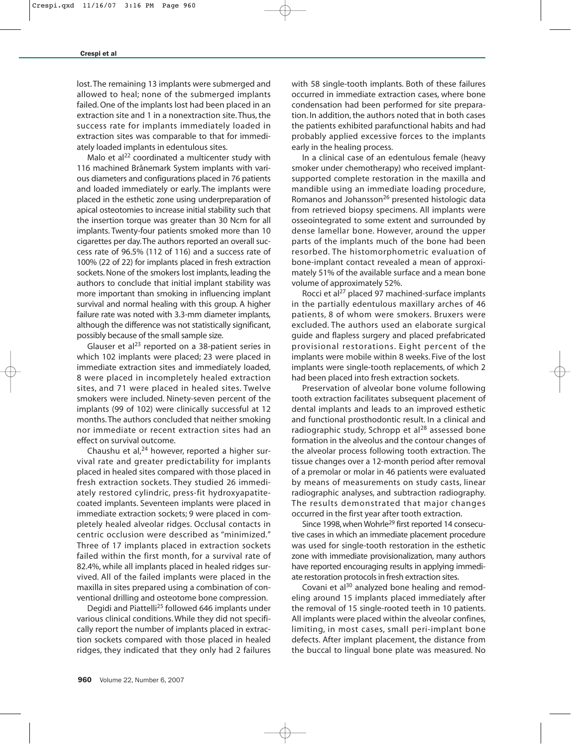lost. The remaining 13 implants were submerged and allowed to heal; none of the submerged implants failed. One of the implants lost had been placed in an extraction site and 1 in a nonextraction site. Thus, the success rate for implants immediately loaded in extraction sites was comparable to that for immediately loaded implants in edentulous sites.

Malo et al $^{22}$  coordinated a multicenter study with 116 machined Brånemark System implants with various diameters and configurations placed in 76 patients and loaded immediately or early. The implants were placed in the esthetic zone using underpreparation of apical osteotomies to increase initial stability such that the insertion torque was greater than 30 Ncm for all implants. Twenty-four patients smoked more than 10 cigarettes per day.The authors reported an overall success rate of 96.5% (112 of 116) and a success rate of 100% (22 of 22) for implants placed in fresh extraction sockets. None of the smokers lost implants, leading the authors to conclude that initial implant stability was more important than smoking in influencing implant survival and normal healing with this group. A higher failure rate was noted with 3.3-mm diameter implants, although the difference was not statistically significant, possibly because of the small sample size.

Glauser et al $^{23}$  reported on a 38-patient series in which 102 implants were placed; 23 were placed in immediate extraction sites and immediately loaded, 8 were placed in incompletely healed extraction sites, and 71 were placed in healed sites. Twelve smokers were included. Ninety-seven percent of the implants (99 of 102) were clinically successful at 12 months. The authors concluded that neither smoking nor immediate or recent extraction sites had an effect on survival outcome.

Chaushu et al,<sup>24</sup> however, reported a higher survival rate and greater predictability for implants placed in healed sites compared with those placed in fresh extraction sockets. They studied 26 immediately restored cylindric, press-fit hydroxyapatitecoated implants. Seventeen implants were placed in immediate extraction sockets; 9 were placed in completely healed alveolar ridges. Occlusal contacts in centric occlusion were described as "minimized." Three of 17 implants placed in extraction sockets failed within the first month, for a survival rate of 82.4%, while all implants placed in healed ridges survived. All of the failed implants were placed in the maxilla in sites prepared using a combination of conventional drilling and osteotome bone compression.

Degidi and Piattelli<sup>25</sup> followed 646 implants under various clinical conditions. While they did not specifically report the number of implants placed in extraction sockets compared with those placed in healed ridges, they indicated that they only had 2 failures with 58 single-tooth implants. Both of these failures occurred in immediate extraction cases, where bone condensation had been performed for site preparation. In addition, the authors noted that in both cases the patients exhibited parafunctional habits and had probably applied excessive forces to the implants early in the healing process.

In a clinical case of an edentulous female (heavy smoker under chemotherapy) who received implantsupported complete restoration in the maxilla and mandible using an immediate loading procedure, Romanos and Johansson<sup>26</sup> presented histologic data from retrieved biopsy specimens. All implants were osseointegrated to some extent and surrounded by dense lamellar bone. However, around the upper parts of the implants much of the bone had been resorbed. The histomorphometric evaluation of bone-implant contact revealed a mean of approximately 51% of the available surface and a mean bone volume of approximately 52%.

Rocci et al<sup>27</sup> placed 97 machined-surface implants in the partially edentulous maxillary arches of 46 patients, 8 of whom were smokers. Bruxers were excluded. The authors used an elaborate surgical guide and flapless surgery and placed prefabricated provisional restorations. Eight percent of the implants were mobile within 8 weeks. Five of the lost implants were single-tooth replacements, of which 2 had been placed into fresh extraction sockets.

Preservation of alveolar bone volume following tooth extraction facilitates subsequent placement of dental implants and leads to an improved esthetic and functional prosthodontic result. In a clinical and radiographic study, Schropp et al<sup>28</sup> assessed bone formation in the alveolus and the contour changes of the alveolar process following tooth extraction. The tissue changes over a 12-month period after removal of a premolar or molar in 46 patients were evaluated by means of measurements on study casts, linear radiographic analyses, and subtraction radiography. The results demonstrated that major changes occurred in the first year after tooth extraction.

Since 1998, when Wohrle<sup>29</sup> first reported 14 consecutive cases in which an immediate placement procedure was used for single-tooth restoration in the esthetic zone with immediate provisionalization, many authors have reported encouraging results in applying immediate restoration protocols in fresh extraction sites.

Covani et al<sup>30</sup> analyzed bone healing and remodeling around 15 implants placed immediately after the removal of 15 single-rooted teeth in 10 patients. All implants were placed within the alveolar confines, limiting, in most cases, small peri-implant bone defects. After implant placement, the distance from the buccal to lingual bone plate was measured. No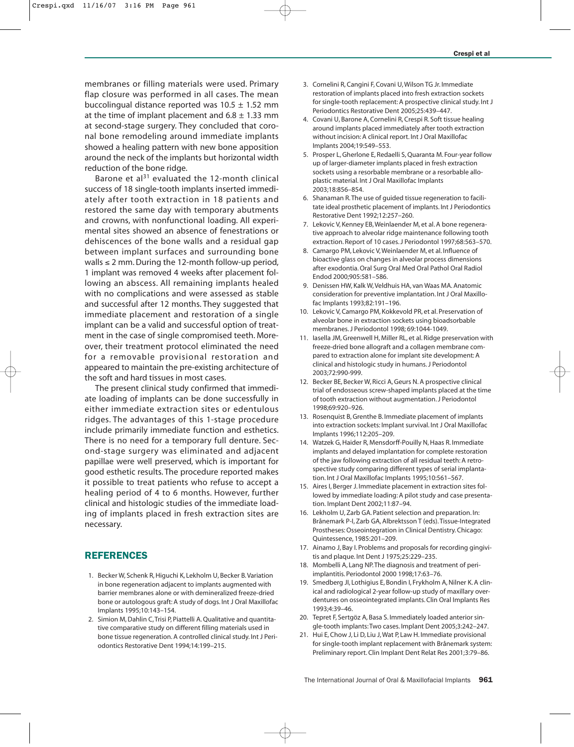membranes or filling materials were used. Primary flap closure was performed in all cases. The mean buccolingual distance reported was  $10.5 \pm 1.52$  mm at the time of implant placement and  $6.8 \pm 1.33$  mm at second-stage surgery. They concluded that coronal bone remodeling around immediate implants showed a healing pattern with new bone apposition around the neck of the implants but horizontal width reduction of the bone ridge.

Barone et al $^{31}$  evaluated the 12-month clinical success of 18 single-tooth implants inserted immediately after tooth extraction in 18 patients and restored the same day with temporary abutments and crowns, with nonfunctional loading. All experimental sites showed an absence of fenestrations or dehiscences of the bone walls and a residual gap between implant surfaces and surrounding bone walls ≤ 2 mm. During the 12-month follow-up period, 1 implant was removed 4 weeks after placement following an abscess. All remaining implants healed with no complications and were assessed as stable and successful after 12 months. They suggested that immediate placement and restoration of a single implant can be a valid and successful option of treatment in the case of single compromised teeth. Moreover, their treatment protocol eliminated the need for a removable provisional restoration and appeared to maintain the pre-existing architecture of the soft and hard tissues in most cases.

The present clinical study confirmed that immediate loading of implants can be done successfully in either immediate extraction sites or edentulous ridges. The advantages of this 1-stage procedure include primarily immediate function and esthetics. There is no need for a temporary full denture. Second-stage surgery was eliminated and adjacent papillae were well preserved, which is important for good esthetic results. The procedure reported makes it possible to treat patients who refuse to accept a healing period of 4 to 6 months. However, further clinical and histologic studies of the immediate loading of implants placed in fresh extraction sites are necessary.

## REFERENCES

- 1. Becker W, Schenk R, Higuchi K, Lekholm U, Becker B. Variation in bone regeneration adjacent to implants augmented with barrier membranes alone or with demineralized freeze-dried bone or autologous graft: A study of dogs. Int J Oral Maxillofac Implants 1995;10:143–154.
- 2. Simion M, Dahlin C, Trisi P, Piattelli A. Qualitative and quantitative comparative study on different filling materials used in bone tissue regeneration. A controlled clinical study. Int J Periodontics Restorative Dent 1994;14:199–215.
- 3. Cornelini R, Cangini F, Covani U, Wilson TG Jr. Immediate restoration of implants placed into fresh extraction sockets for single-tooth replacement: A prospective clinical study. Int J Periodontics Restorative Dent 2005;25:439–447.
- 4. Covani U, Barone A, Cornelini R, Crespi R. Soft tissue healing around implants placed immediately after tooth extraction without incision: A clinical report. Int J Oral Maxillofac Implants 2004;19:549–553.
- 5. Prosper L, Gherlone E, Redaelli S, Quaranta M. Four-year follow up of larger-diameter implants placed in fresh extraction sockets using a resorbable membrane or a resorbable alloplastic material. Int J Oral Maxillofac Implants 2003;18:856–854.
- 6. Shanaman R.The use of guided tissue regeneration to facilitate ideal prosthetic placement of implants. Int J Periodontics Restorative Dent 1992;12:257–260.
- 7. Lekovic V, Kenney EB, Weinlaender M, et al. A bone regenerative approach to alveolar ridge maintenance following tooth extraction. Report of 10 cases. J Periodontol 1997;68:563–570.
- 8. Camargo PM, Lekovic V, Weinlaender M, et al. Influence of bioactive glass on changes in alveolar process dimensions after exodontia. Oral Surg Oral Med Oral Pathol Oral Radiol Endod 2000;905:581–586.
- 9. Denissen HW, Kalk W, Veldhuis HA, van Waas MA. Anatomic consideration for preventive implantation. Int J Oral Maxillofac Implants 1993;82:191–196.
- 10. Lekovic V, Camargo PM, Kokkevold PR, et al. Preservation of alveolar bone in extraction sockets using bioadsorbable membranes. J Periodontol 1998; 69:1044-1049.
- 11. Iasella JM, Greenwell H, Miller RL, et al. Ridge preservation with freeze-dried bone allograft and a collagen membrane compared to extraction alone for implant site development: A clinical and histologic study in humans. J Periodontol 2003;72:990-999.
- 12. Becker BE, Becker W, Ricci A, Geurs N. A prospective clinical trial of endosseous screw-shaped implants placed at the time of tooth extraction without augmentation. J Periodontol 1998;69:920–926.
- 13. Rosenquist B, Grenthe B. Immediate placement of implants into extraction sockets: Implant survival. Int J Oral Maxillofac Implants 1996;112:205–209.
- 14. Watzek G, Haider R, Mensdorff-Pouilly N, Haas R. Immediate implants and delayed implantation for complete restoration of the jaw following extraction of all residual teeth: A retrospective study comparing different types of serial implantation. Int J Oral Maxillofac Implants 1995;10:561–567.
- 15. Aires I, Berger J. Immediate placement in extraction sites followed by immediate loading: A pilot study and case presentation. Implant Dent 2002;11:87–94.
- 16. Lekholm U, Zarb GA. Patient selection and preparation. In: Brånemark P-I, Zarb GA, Albrektsson T (eds).Tissue-Integrated Prostheses: Osseointegration in Clinical Dentistry. Chicago: Quintessence, 1985:201–209.
- 17. Ainamo J, Bay I. Problems and proposals for recording gingivitis and plaque. Int Dent J 1975;25:229–235.
- 18. Mombelli A, Lang NP.The diagnosis and treatment of periimplantitis. Periodontol 2000 1998;17:63–76.
- 19. Smedberg JI, Lothigius E, Bondin I, Frykholm A, Nilner K. A clinical and radiological 2-year follow-up study of maxillary overdentures on osseointegrated implants. Clin Oral Implants Res 1993;4:39–46.
- 20. Tepret F, Sertgöz A, Basa S. Immediately loaded anterior single-tooth implants: Two cases. Implant Dent 2005;3:242–247.
- 21. Hui E, Chow J, Li D, Liu J, Wat P, Law H. Immediate provisional for single-tooth implant replacement with Brånemark system: Preliminary report. Clin Implant Dent Relat Res 2001;3:79–86.